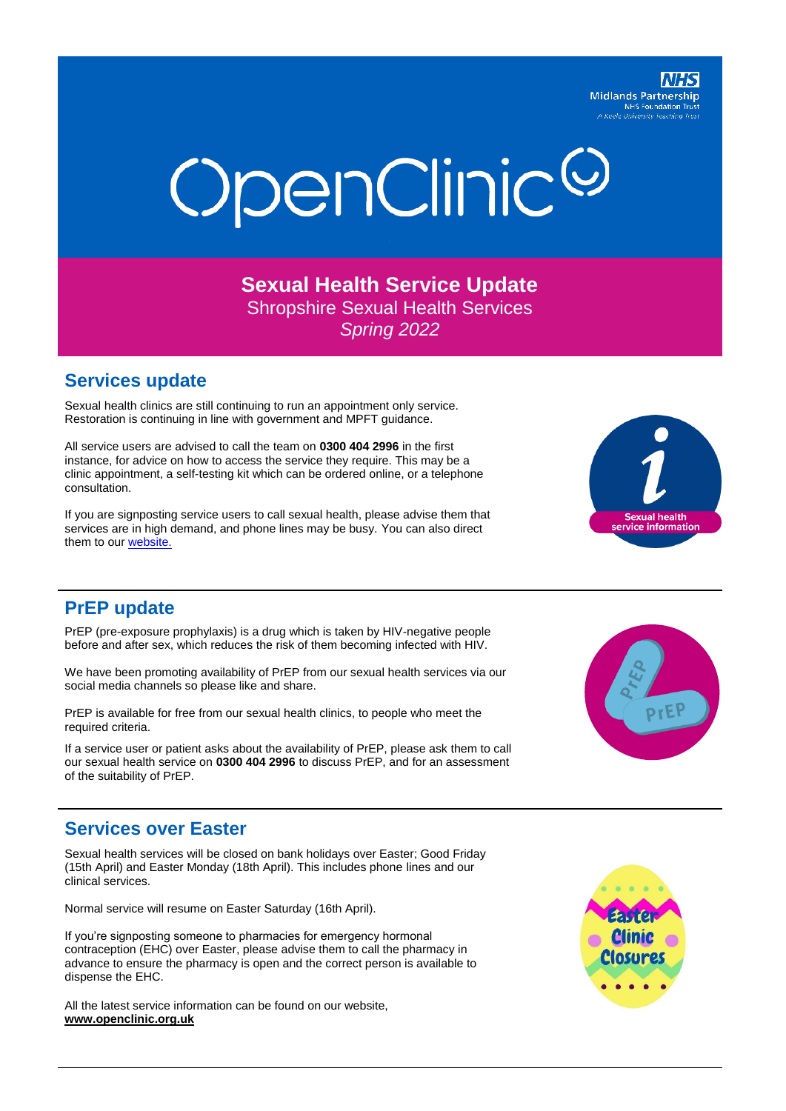**Midlands Partnership NHS Foundation Truth A Keele University Teaching Truth** 

# OpenClinic<sup>@</sup>

**Sexual Health Service Update** Shropshire Sexual Health Services *Spring 2022*

#### **Services update**

Sexual health clinics are still continuing to run an appointment only service. Restoration is continuing in line with government and MPFT guidance.

All service users are advised to call the team on **0300 404 2996** in the first instance, for advice on how to access the service they require. This may be a clinic appointment, a self-testing kit which can be ordered online, or a telephone consultation.

If you are signposting service users to call sexual health, please advise them that services are in high demand, and phone lines may be busy. You can also direct them to our [website.](http://www.openclinic.org.uk/)



### **PrEP update**

PrEP (pre-exposure prophylaxis) is a drug which is taken by HIV-negative people before and after sex, which reduces the risk of them becoming infected with HIV.

We have been promoting availability of PrEP from our sexual health services via our social media channels so please like and share.

PrEP is available for free from our sexual health clinics, to people who meet the required criteria.

If a service user or patient asks about the availability of PrEP, please ask them to call our sexual health service on **0300 404 2996** to discuss PrEP, and for an assessment of the suitability of PrEP.



### **Services over Easter**

Sexual health services will be closed on bank holidays over Easter; Good Friday (15th April) and Easter Monday (18th April). This includes phone lines and our clinical services.

Normal service will resume on Easter Saturday (16th April).

If you're signposting someone to pharmacies for emergency hormonal contraception (EHC) over Easter, please advise them to call the pharmacy in advance to ensure the pharmacy is open and the correct person is available to dispense the EHC.

All the latest service information can be found on our website, **[www.openclinic.org.uk](http://www.openclinic.org.uk/)**